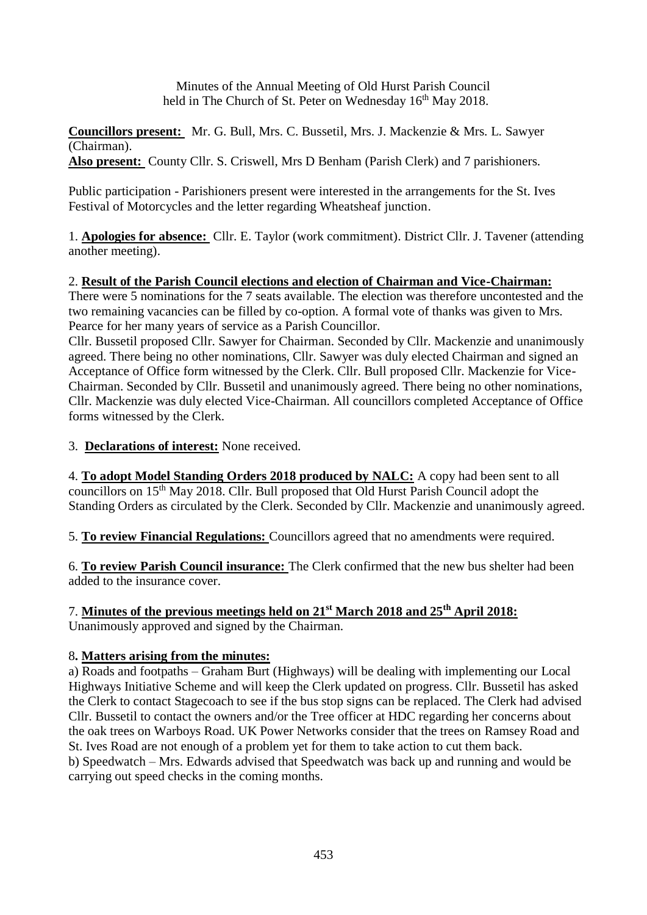Minutes of the Annual Meeting of Old Hurst Parish Council held in The Church of St. Peter on Wednesday 16<sup>th</sup> May 2018.

**Councillors present:** Mr. G. Bull, Mrs. C. Bussetil, Mrs. J. Mackenzie & Mrs. L. Sawyer (Chairman). **Also present:** County Cllr. S. Criswell, Mrs D Benham (Parish Clerk) and 7 parishioners.

Public participation - Parishioners present were interested in the arrangements for the St. Ives Festival of Motorcycles and the letter regarding Wheatsheaf junction.

1. **Apologies for absence:** Cllr. E. Taylor (work commitment). District Cllr. J. Tavener (attending another meeting).

## 2. **Result of the Parish Council elections and election of Chairman and Vice-Chairman:**

There were 5 nominations for the 7 seats available. The election was therefore uncontested and the two remaining vacancies can be filled by co-option. A formal vote of thanks was given to Mrs. Pearce for her many years of service as a Parish Councillor.

Cllr. Bussetil proposed Cllr. Sawyer for Chairman. Seconded by Cllr. Mackenzie and unanimously agreed. There being no other nominations, Cllr. Sawyer was duly elected Chairman and signed an Acceptance of Office form witnessed by the Clerk. Cllr. Bull proposed Cllr. Mackenzie for Vice-Chairman. Seconded by Cllr. Bussetil and unanimously agreed. There being no other nominations, Cllr. Mackenzie was duly elected Vice-Chairman. All councillors completed Acceptance of Office forms witnessed by the Clerk.

3. **Declarations of interest:** None received.

4. **To adopt Model Standing Orders 2018 produced by NALC:** A copy had been sent to all councillors on 15th May 2018. Cllr. Bull proposed that Old Hurst Parish Council adopt the Standing Orders as circulated by the Clerk. Seconded by Cllr. Mackenzie and unanimously agreed.

5. **To review Financial Regulations:** Councillors agreed that no amendments were required.

6. **To review Parish Council insurance:** The Clerk confirmed that the new bus shelter had been added to the insurance cover.

# 7. **Minutes of the previous meetings held on 21st March 2018 and 25th April 2018:**

Unanimously approved and signed by the Chairman.

# 8**. Matters arising from the minutes:**

a) Roads and footpaths – Graham Burt (Highways) will be dealing with implementing our Local Highways Initiative Scheme and will keep the Clerk updated on progress. Cllr. Bussetil has asked the Clerk to contact Stagecoach to see if the bus stop signs can be replaced. The Clerk had advised Cllr. Bussetil to contact the owners and/or the Tree officer at HDC regarding her concerns about the oak trees on Warboys Road. UK Power Networks consider that the trees on Ramsey Road and St. Ives Road are not enough of a problem yet for them to take action to cut them back. b) Speedwatch – Mrs. Edwards advised that Speedwatch was back up and running and would be carrying out speed checks in the coming months.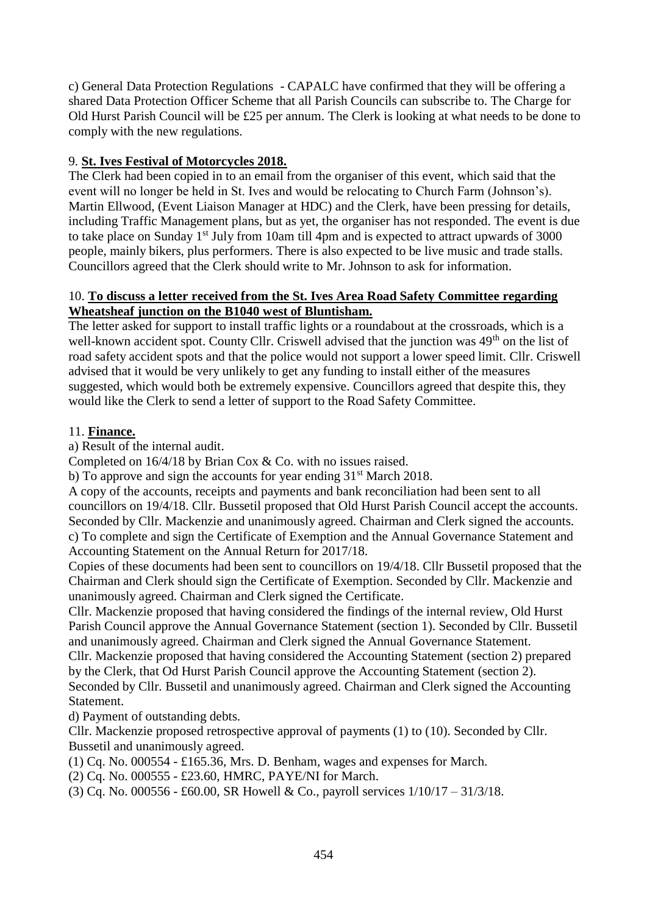c) General Data Protection Regulations - CAPALC have confirmed that they will be offering a shared Data Protection Officer Scheme that all Parish Councils can subscribe to. The Charge for Old Hurst Parish Council will be £25 per annum. The Clerk is looking at what needs to be done to comply with the new regulations.

## 9. **St. Ives Festival of Motorcycles 2018.**

The Clerk had been copied in to an email from the organiser of this event, which said that the event will no longer be held in St. Ives and would be relocating to Church Farm (Johnson's). Martin Ellwood, (Event Liaison Manager at HDC) and the Clerk, have been pressing for details, including Traffic Management plans, but as yet, the organiser has not responded. The event is due to take place on Sunday 1<sup>st</sup> July from 10am till 4pm and is expected to attract upwards of 3000 people, mainly bikers, plus performers. There is also expected to be live music and trade stalls. Councillors agreed that the Clerk should write to Mr. Johnson to ask for information.

#### 10. **To discuss a letter received from the St. Ives Area Road Safety Committee regarding Wheatsheaf junction on the B1040 west of Bluntisham.**

The letter asked for support to install traffic lights or a roundabout at the crossroads, which is a well-known accident spot. County Cllr. Criswell advised that the junction was 49<sup>th</sup> on the list of road safety accident spots and that the police would not support a lower speed limit. Cllr. Criswell advised that it would be very unlikely to get any funding to install either of the measures suggested, which would both be extremely expensive. Councillors agreed that despite this, they would like the Clerk to send a letter of support to the Road Safety Committee.

## 11. **Finance.**

a) Result of the internal audit.

Completed on 16/4/18 by Brian Cox & Co. with no issues raised.

b) To approve and sign the accounts for year ending  $31<sup>st</sup>$  March 2018.

A copy of the accounts, receipts and payments and bank reconciliation had been sent to all councillors on 19/4/18. Cllr. Bussetil proposed that Old Hurst Parish Council accept the accounts. Seconded by Cllr. Mackenzie and unanimously agreed. Chairman and Clerk signed the accounts. c) To complete and sign the Certificate of Exemption and the Annual Governance Statement and Accounting Statement on the Annual Return for 2017/18.

Copies of these documents had been sent to councillors on 19/4/18. Cllr Bussetil proposed that the Chairman and Clerk should sign the Certificate of Exemption. Seconded by Cllr. Mackenzie and unanimously agreed. Chairman and Clerk signed the Certificate.

Cllr. Mackenzie proposed that having considered the findings of the internal review, Old Hurst Parish Council approve the Annual Governance Statement (section 1). Seconded by Cllr. Bussetil and unanimously agreed. Chairman and Clerk signed the Annual Governance Statement.

Cllr. Mackenzie proposed that having considered the Accounting Statement (section 2) prepared by the Clerk, that Od Hurst Parish Council approve the Accounting Statement (section 2). Seconded by Cllr. Bussetil and unanimously agreed. Chairman and Clerk signed the Accounting Statement.

d) Payment of outstanding debts.

Cllr. Mackenzie proposed retrospective approval of payments (1) to (10). Seconded by Cllr. Bussetil and unanimously agreed.

(1) Cq. No. 000554 - £165.36, Mrs. D. Benham, wages and expenses for March.

(2) Cq. No. 000555 - £23.60, HMRC, PAYE/NI for March.

(3) Cq. No. 000556 - £60.00, SR Howell & Co., payroll services 1/10/17 – 31/3/18.